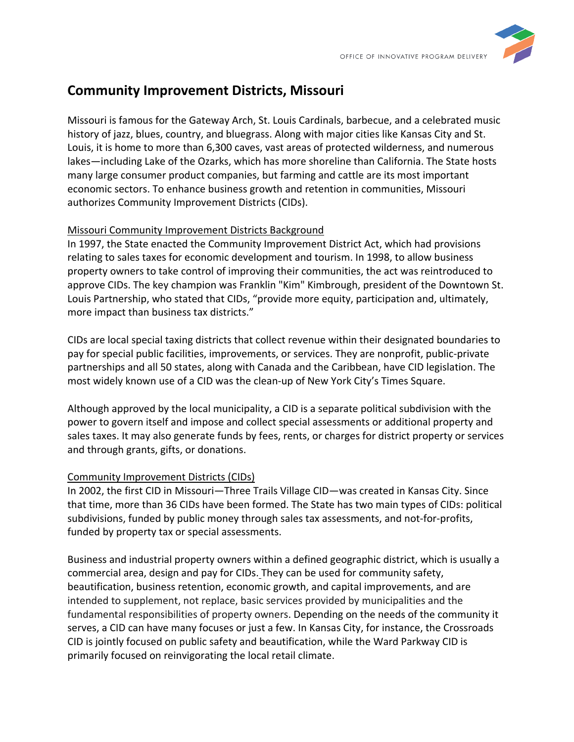

## **Community Improvement Districts, Missouri**

Missouri is famous for the Gateway Arch, St. Louis Cardinals, barbecue, and a celebrated music history of jazz, blues, country, and bluegrass. Along with major cities like Kansas City and St. Louis, it is home to more than 6,300 caves, vast areas of protected wilderness, and numerous lakes—including Lake of the Ozarks, which has more shoreline than California. The State hosts many large consumer product companies, but farming and cattle are its most important economic sectors. To enhance business growth and retention in communities, Missouri authorizes Community Improvement Districts (CIDs).

## Missouri Community Improvement Districts Background

In 1997, the State enacted the Community Improvement District Act, which had provisions relating to sales taxes for economic development and tourism. In 1998, to allow business property owners to take control of improving their communities, the act was reintroduced to approve CIDs. The key champion was Franklin "Kim" Kimbrough, president of the Downtown St. Louis Partnership, who stated that CIDs, "provide more equity, participation and, ultimately, more impact than business tax districts."

CIDs are local special taxing districts that collect revenue within their designated boundaries to pay for special public facilities, improvements, or services. They are nonprofit, public-private partnerships and all 50 states, along with Canada and the Caribbean, have CID legislation. The most widely known use of a CID was the clean-up of New York City's Times Square.

Although approved by the local municipality, a CID is a separate political subdivision with the power to govern itself and impose and collect special assessments or additional property and sales taxes. It may also generate funds by fees, rents, or charges for district property or services and through grants, gifts, or donations.

## Community Improvement Districts (CIDs)

In 2002, the first CID in Missouri—Three Trails Village CID—was created in Kansas City. Since that time, more than 36 CIDs have been formed. The State has two main types of CIDs: political subdivisions, funded by public money through sales tax assessments, and not-for-profits, funded by property tax or special assessments.

Business and industrial property owners within a defined geographic district, which is usually a commercial area, design and pay for CIDs. They can be used for community safety, beautification, business retention, economic growth, and capital improvements, and are intended to supplement, not replace, basic services provided by municipalities and the fundamental responsibilities of property owners. Depending on the needs of the community it serves, a CID can have many focuses or just a few. In Kansas City, for instance, the Crossroads CID is jointly focused on public safety and beautification, while the Ward Parkway CID is primarily focused on reinvigorating the local retail climate.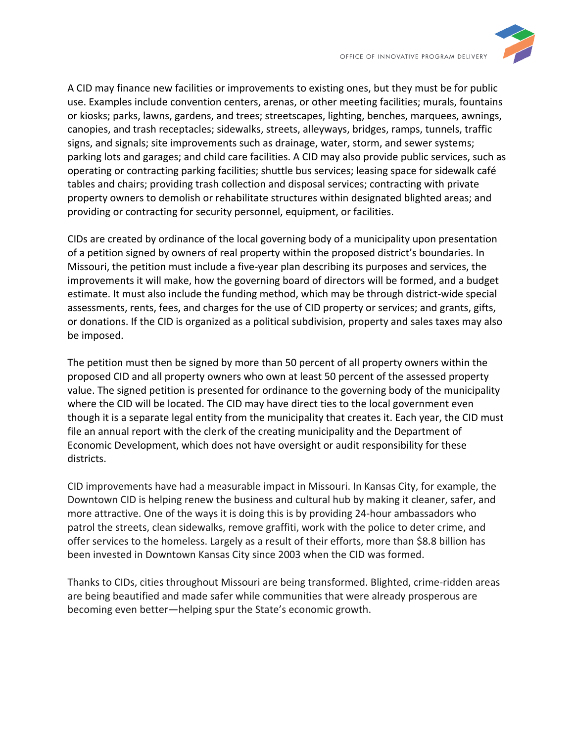

A CID may finance new facilities or improvements to existing ones, but they must be for public use. Examples include convention centers, arenas, or other meeting facilities; murals, fountains or kiosks; parks, lawns, gardens, and trees; streetscapes, lighting, benches, marquees, awnings, canopies, and trash receptacles; sidewalks, streets, alleyways, bridges, ramps, tunnels, traffic signs, and signals; site improvements such as drainage, water, storm, and sewer systems; parking lots and garages; and child care facilities. A CID may also provide public services, such as operating or contracting parking facilities; shuttle bus services; leasing space for sidewalk café tables and chairs; providing trash collection and disposal services; contracting with private property owners to demolish or rehabilitate structures within designated blighted areas; and providing or contracting for security personnel, equipment, or facilities.

CIDs are created by ordinance of the local governing body of a municipality upon presentation of a petition signed by owners of real property within the proposed district's boundaries. In Missouri, the petition must include a five-year plan describing its purposes and services, the improvements it will make, how the governing board of directors will be formed, and a budget estimate. It must also include the funding method, which may be through district-wide special assessments, rents, fees, and charges for the use of CID property or services; and grants, gifts, or donations. If the CID is organized as a political subdivision, property and sales taxes may also be imposed.

The petition must then be signed by more than 50 percent of all property owners within the proposed CID and all property owners who own at least 50 percent of the assessed property value. The signed petition is presented for ordinance to the governing body of the municipality where the CID will be located. The CID may have direct ties to the local government even though it is a separate legal entity from the municipality that creates it. Each year, the CID must file an annual report with the clerk of the creating municipality and the Department of Economic Development, which does not have oversight or audit responsibility for these districts.

CID improvements have had a measurable impact in Missouri. In Kansas City, for example, the Downtown CID is helping renew the business and cultural hub by making it cleaner, safer, and more attractive. One of the ways it is doing this is by providing 24-hour ambassadors who patrol the streets, clean sidewalks, remove graffiti, work with the police to deter crime, and offer services to the homeless. Largely as a result of their efforts, more than \$8.8 billion has been invested in Downtown Kansas City since 2003 when the CID was formed.

Thanks to CIDs, cities throughout Missouri are being transformed. Blighted, crime-ridden areas are being beautified and made safer while communities that were already prosperous are becoming even better—helping spur the State's economic growth.